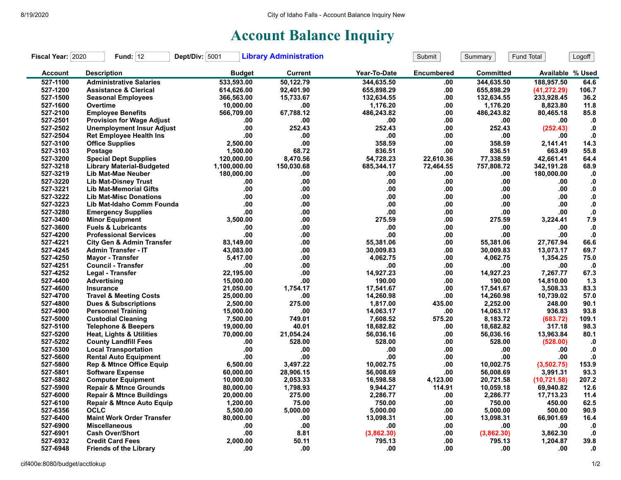## **Account Balance Inquiry**

| Fiscal Year: 2020 | Fund: $12$                           | Dept/Div: 5001 | <b>Library Administration</b> |              | Submit            | Summary          | Fund Total       | Logoff        |
|-------------------|--------------------------------------|----------------|-------------------------------|--------------|-------------------|------------------|------------------|---------------|
| <b>Account</b>    | <b>Description</b>                   | <b>Budget</b>  | <b>Current</b>                | Year-To-Date | <b>Encumbered</b> | <b>Committed</b> | Available % Used |               |
| 527-1100          | <b>Administrative Salaries</b>       | 533,593.00     | 50.122.79                     | 344.635.50   | .00               | 344.635.50       | 188.957.50       | 64.6          |
| 527-1200          | <b>Assistance &amp; Clerical</b>     | 614,626.00     | 92,401.90                     | 655,898.29   | .00               | 655,898.29       | (41, 272.29)     | 106.7         |
| 527-1500          | <b>Seasonal Employees</b>            | 366,563.00     | 15,733.67                     | 132,634.55   | .00               | 132,634.55       | 233,928.45       | 36.2          |
| 527-1600          | Overtime                             | 10,000.00      | .00                           | 1,176.20     | .00               | 1,176.20         | 8,823.80         | 11.8          |
| 527-2100          | <b>Employee Benefits</b>             | 566,709.00     | 67,788.12                     | 486,243.82   | .00               | 486,243.82       | 80,465.18        | 85.8          |
| 527-2501          | <b>Provision for Wage Adjust</b>     | .00            | .00                           | .00.         | .00               | .00              | .00              | $\mathbf{.0}$ |
| 527-2502          | <b>Unemployment Insur Adjust</b>     | .00            | 252.43                        | 252.43       | .00               | 252.43           | (252.43)         | $\cdot$       |
| 527-2504          | <b>Ret Employee Health Ins</b>       | .00            | .00                           | .00          | .00               | .00              | .00              | $\mathbf{0}$  |
| 527-3100          | <b>Office Supplies</b>               | 2,500.00       | .00                           | 358.59       | .00               | 358.59           | 2,141.41         | 14.3          |
| 527-3103          | Postage                              | 1,500.00       | 68.72                         | 836.51       | .00               | 836.51           | 663.49           | 55.8          |
| 527-3200          | <b>Special Dept Supplies</b>         | 120,000.00     | 8,470.56                      | 54,728.23    | 22,610.36         | 77,338.59        | 42,661.41        | 64.4          |
| 527-3218          | <b>Library Material-Budgeted</b>     | 1,100,000.00   | 150,030.68                    | 685,344.17   | 72,464.55         | 757,808.72       | 342,191.28       | 68.9          |
| 527-3219          | Lib Mat-Mae Neuber                   | 180,000.00     | .00                           | .00          | .00               | .00              | 180,000.00       | $\mathbf{0}$  |
| 527-3220          | <b>Lib Mat-Disney Trust</b>          | .00            | .00                           | .00          | .00               | .00              | .00              | $\mathbf{.0}$ |
| 527-3221          | <b>Lib Mat-Memorial Gifts</b>        | .00            | .00                           | .00          | .00               | .00              | .00              | ${\bf .0}$    |
| 527-3222          | <b>Lib Mat-Misc Donations</b>        | .00            | .00                           | .00          | .00               | .00              | .00              | $\mathbf{0}$  |
| 527-3223          | Lib Mat-Idaho Comm Founda            | .00            | .00                           | .00          | .00               | .00              | .00              | $\bf{.0}$     |
| 527-3280          | <b>Emergency Supplies</b>            | .00            | .00                           | .00          | .00               | .00              | .00.             | $\mathbf{0}$  |
| 527-3400          | <b>Minor Equipment</b>               | 3.500.00       | .00                           | 275.59       | .00               | 275.59           | 3,224.41         | 7.9           |
| 527-3600          | <b>Fuels &amp; Lubricants</b>        | .00            | .00                           | .00          | .00               | .00              | .00              | $\cdot$       |
| 527-4200          | <b>Professional Services</b>         | .00            | .00                           | .00          | .00               | .00              | .00              | $\cdot$       |
| 527-4221          | <b>City Gen &amp; Admin Transfer</b> | 83.149.00      | .00                           | 55.381.06    | .00               | 55.381.06        | 27.767.94        | 66.6          |
| 527-4245          | <b>Admin Transfer - IT</b>           | 43,083.00      | .00                           | 30,009.83    | .00               | 30,009.83        | 13,073.17        | 69.7          |
| 527-4250          | <b>Mayor - Transfer</b>              | 5,417.00       | .00                           | 4,062.75     | .00               | 4,062.75         | 1,354.25         | 75.0          |
| 527-4251          | <b>Council - Transfer</b>            | .00            | .00                           | .00          | .00               | .00              | .00              | $\cdot$       |
| 527-4252          | Legal - Transfer                     | 22,195.00      | .00                           | 14,927.23    | .00               | 14,927.23        | 7,267.77         | 67.3          |
| 527-4400          | Advertising                          | 15,000.00      | .00                           | 190.00       | .00               | 190.00           | 14,810.00        | 1.3           |
| 527-4600          | Insurance                            | 21,050.00      | 1,754.17                      | 17,541.67    | .00               | 17,541.67        | 3,508.33         | 83.3          |
| 527-4700          | <b>Travel &amp; Meeting Costs</b>    | 25,000.00      | .00                           | 14,260.98    | .00               | 14,260.98        | 10,739.02        | 57.0          |
| 527-4800          | <b>Dues &amp; Subscriptions</b>      | 2,500.00       | 275.00                        | 1,817.00     | 435.00            | 2,252.00         | 248.00           | 90.1          |
| 527-4900          | <b>Personnel Training</b>            | 15,000.00      | .00                           | 14,063.17    | .00               | 14,063.17        | 936.83           | 93.8          |
| 527-5000          | <b>Custodial Cleaning</b>            | 7,500.00       | 749.01                        | 7,608.52     | 575.20            | 8,183.72         | (683.72)         | 109.1         |
| 527-5100          | <b>Telephone &amp; Beepers</b>       | 19,000.00      | 40.01                         | 18,682.82    | .00               | 18,682.82        | 317.18           | 98.3          |
| 527-5200          | Heat, Lights & Utilities             | 70,000.00      | 21,054.24                     | 56,036.16    | .00               | 56,036.16        | 13,963.84        | 80.1          |
| 527-5202          | <b>County Landfill Fees</b>          | .00            | 528.00                        | 528.00       | .00               | 528.00           | (528.00)         | .0            |
| 527-5300          | <b>Local Transportation</b>          | .00            | .00                           | .00          | .00               | .00              | .00              | $\mathbf{0}$  |
| 527-5600          | <b>Rental Auto Equipment</b>         | .00            | .00                           | .00          | .00               | .00              | .00              | $\mathbf{0}$  |
| 527-5800          | <b>Rep &amp; Mtnce Office Equip</b>  | 6,500.00       | 3,497.22                      | 10,002.75    | .00               | 10,002.75        | (3,502.75)       | 153.9         |
| 527-5801          | <b>Software Expense</b>              | 60,000.00      | 28,906.15                     | 56,008.69    | .00               | 56,008.69        | 3,991.31         | 93.3          |
| 527-5802          | <b>Computer Equipment</b>            | 10,000.00      | 2,053.33                      | 16,598.58    | 4,123.00          | 20,721.58        | (10, 721.58)     | 207.2         |
| 527-5900          | <b>Repair &amp; Mtnce Grounds</b>    | 80,000.00      | 1,798.93                      | 9,944.27     | 114.91            | 10,059.18        | 69,940.82        | 12.6          |
| 527-6000          | <b>Repair &amp; Mtnce Buildings</b>  | 20,000.00      | 275.00                        | 2,286.77     | .00               | 2,286.77         | 17,713.23        | 11.4          |
| 527-6100          | <b>Repair &amp; Mtnce Auto Equip</b> | 1,200.00       | 75.00                         | 750.00       | .00               | 750.00           | 450.00           | 62.5          |
| 527-6356          | <b>OCLC</b>                          | 5,500.00       | 5,000.00                      | 5,000.00     | .00               | 5,000.00         | 500.00           | 90.9          |
| 527-6400          | <b>Maint Work Order Transfer</b>     | 80.000.00      | .00                           | 13.098.31    | .00               | 13,098.31        | 66,901.69        | 16.4          |
| 527-6900          | <b>Miscellaneous</b>                 | .00            | .00                           | .00          | .00               | .00              | .00              | $\cdot$ 0     |
| 527-6901          | <b>Cash Over/Short</b>               | .00            | 8.81                          | (3,862.30)   | .00               | (3,862.30)       | 3,862.30         | $\cdot$       |
| 527-6932          | <b>Credit Card Fees</b>              | 2.000.00       | 50.11                         | 795.13       | .00               | 795.13           | 1,204.87         | 39.8          |
| 527-6948          | <b>Friends of the Library</b>        | .00            | .00                           | .00          | .00               | .00              | .00              | $\mathbf{0}$  |